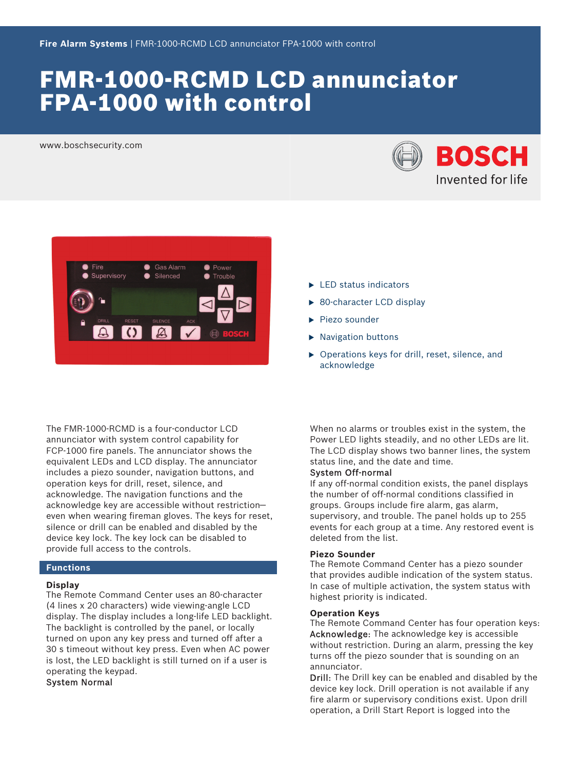# FMR-1000-RCMD LCD annunciator FPA-1000 with control

www.boschsecurity.com





The FMR‑1000‑RCMD is a four-conductor LCD annunciator with system control capability for FCP-1000 fire panels. The annunciator shows the equivalent LEDs and LCD display. The annunciator includes a piezo sounder, navigation buttons, and operation keys for drill, reset, silence, and acknowledge. The navigation functions and the acknowledge key are accessible without restriction even when wearing fireman gloves. The keys for reset, silence or drill can be enabled and disabled by the device key lock. The key lock can be disabled to provide full access to the controls.

#### **Functions**

#### **Display**

The Remote Command Center uses an 80‑character (4 lines x 20 characters) wide viewing-angle LCD display. The display includes a long‑life LED backlight. The backlight is controlled by the panel, or locally turned on upon any key press and turned off after a 30 s timeout without key press. Even when AC power is lost, the LED backlight is still turned on if a user is operating the keypad.

System Normal

- $\blacktriangleright$  LED status indicators
- $\triangleright$  80-character LCD display
- $\blacktriangleright$  Piezo sounder
- $\blacktriangleright$  Navigation buttons
- $\triangleright$  Operations keys for drill, reset, silence, and acknowledge

When no alarms or troubles exist in the system, the Power LED lights steadily, and no other LEDs are lit. The LCD display shows two banner lines, the system status line, and the date and time.

### System Off‑normal

If any off-normal condition exists, the panel displays the number of off‑normal conditions classified in groups. Groups include fire alarm, gas alarm, supervisory, and trouble. The panel holds up to 255 events for each group at a time. Any restored event is deleted from the list.

#### **Piezo Sounder**

The Remote Command Center has a piezo sounder that provides audible indication of the system status. In case of multiple activation, the system status with highest priority is indicated.

#### **Operation Keys**

The Remote Command Center has four operation keys: Acknowledge: The acknowledge key is accessible without restriction. During an alarm, pressing the key turns off the piezo sounder that is sounding on an annunciator.

Drill: The Drill key can be enabled and disabled by the device key lock. Drill operation is not available if any fire alarm or supervisory conditions exist. Upon drill operation, a Drill Start Report is logged into the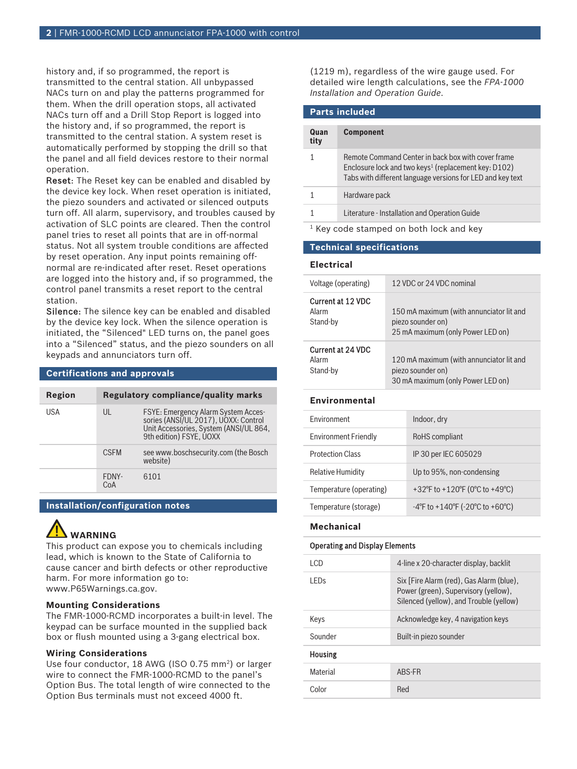history and, if so programmed, the report is transmitted to the central station. All unbypassed NACs turn on and play the patterns programmed for them. When the drill operation stops, all activated NACs turn off and a Drill Stop Report is logged into the history and, if so programmed, the report is transmitted to the central station. A system reset is automatically performed by stopping the drill so that the panel and all field devices restore to their normal operation.

Reset: The Reset key can be enabled and disabled by the device key lock. When reset operation is initiated, the piezo sounders and activated or silenced outputs turn off. All alarm, supervisory, and troubles caused by activation of SLC points are cleared. Then the control panel tries to reset all points that are in off-normal status. Not all system trouble conditions are affected by reset operation. Any input points remaining offnormal are re-indicated after reset. Reset operations are logged into the history and, if so programmed, the control panel transmits a reset report to the central station.

Silence: The silence key can be enabled and disabled by the device key lock. When the silence operation is initiated, the "Silenced" LED turns on, the panel goes into a "Silenced" status, and the piezo sounders on all keypads and annunciators turn off.

#### **Certifications and approvals**

| Region |              | <b>Regulatory compliance/quality marks</b>                                                                                                              |
|--------|--------------|---------------------------------------------------------------------------------------------------------------------------------------------------------|
| USA    | UL           | <b>FSYE: Emergency Alarm System Acces-</b><br>sories (ANSI/UL 2017), UOXX: Control<br>Unit Accessories, System (ANSI/UL 864,<br>9th edition) FSYE, UOXX |
|        | <b>CSEM</b>  | see www.boschsecurity.com (the Bosch<br>website)                                                                                                        |
|        | FDNY-<br>CoA | 6101                                                                                                                                                    |

### **Installation/configuration notes**

# **WARNING**

This product can expose you to chemicals including lead, which is known to the State of California to cause cancer and birth defects or other reproductive harm. For more information go to: [www.P65Warnings.ca.gov.](http://www.P65Warnings.ca.gov)

#### **Mounting Considerations**

The FMR-1000-RCMD incorporates a built-in level. The keypad can be surface mounted in the supplied back box or flush mounted using a 3‑gang electrical box.

#### **Wiring Considerations**

Use four conductor, 18 AWG (ISO 0.75 mm<sup>2</sup>) or larger wire to connect the FMR-1000-RCMD to the panel's Option Bus. The total length of wire connected to the Option Bus terminals must not exceed 4000 ft.

(1219 m), regardless of the wire gauge used. For detailed wire length calculations, see the *FPA‑1000 Installation and Operation Guide*.

## **Parts included**

| Quan<br>tity | <b>Component</b>                                                                                                                                                                     |
|--------------|--------------------------------------------------------------------------------------------------------------------------------------------------------------------------------------|
|              | Remote Command Center in back box with cover frame<br>Enclosure lock and two keys <sup>1</sup> (replacement key: D102)<br>Tabs with different language versions for LED and key text |
|              | Hardware pack                                                                                                                                                                        |
|              | Literature - Installation and Operation Guide                                                                                                                                        |

1 Key code stamped on both lock and key

#### **Technical specifications**

#### **Electrical**

| Voltage (operating)      | 12 VDC or 24 VDC nominal                 |
|--------------------------|------------------------------------------|
| Current at 12 VDC        | 150 mA maximum (with annunciator lit and |
| Alarm                    | piezo sounder on)                        |
| Stand-by                 | 25 mA maximum (only Power LED on)        |
| <b>Current at 24 VDC</b> | 120 mA maximum (with annunciator lit and |
| Alarm                    | piezo sounder on)                        |
| Stand-by                 | 30 mA maximum (only Power LED on)        |

#### **Environmental**

| <b>Environment</b>          | Indoor, dry                     |
|-----------------------------|---------------------------------|
| <b>Environment Friendly</b> | RoHS compliant                  |
| <b>Protection Class</b>     | IP 30 per IEC 605029            |
| <b>Relative Humidity</b>    | Up to 95%, non-condensing       |
| Temperature (operating)     | +32°F to +120°F (0°C to +49°C)  |
| Temperature (storage)       | -4°F to +140°F (-20°C to +60°C) |

#### **Mechanical**

#### Operating and Display Elements

| I CD     | 4-line x 20-character display, backlit                                                                                      |
|----------|-----------------------------------------------------------------------------------------------------------------------------|
| I FDs    | Six [Fire Alarm (red), Gas Alarm (blue),<br>Power (green), Supervisory (yellow),<br>Silenced (yellow), and Trouble (yellow) |
| Keys     | Acknowledge key, 4 navigation keys                                                                                          |
| Sounder  | Built-in piezo sounder                                                                                                      |
| Housing  |                                                                                                                             |
| Material | ABS-FR                                                                                                                      |
| Color    | Red                                                                                                                         |
|          |                                                                                                                             |